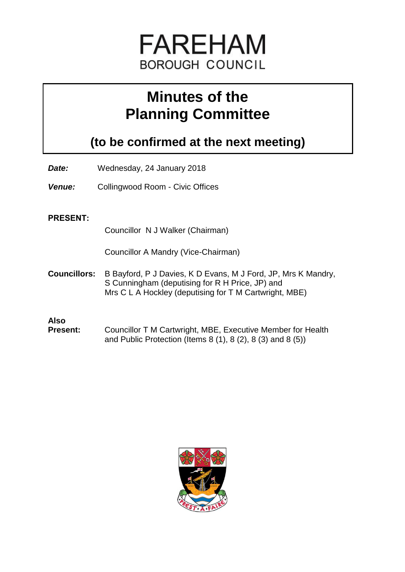

# **Minutes of the Planning Committee**

**(to be confirmed at the next meeting)**

- *Date:* Wednesday, 24 January 2018
- *Venue:* Collingwood Room Civic Offices

## **PRESENT:**

Councillor N J Walker (Chairman)

Councillor A Mandry (Vice-Chairman)

**Councillors:** B Bayford, P J Davies, K D Evans, M J Ford, JP, Mrs K Mandry, S Cunningham (deputising for R H Price, JP) and Mrs C L A Hockley (deputising for T M Cartwright, MBE)

# **Also**

**Present:** Councillor T M Cartwright, MBE, Executive Member for Health and Public Protection (Items 8 (1), 8 (2), 8 (3) and 8 (5))

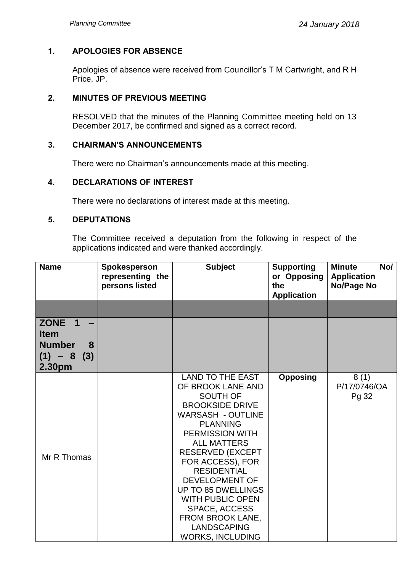## **1. APOLOGIES FOR ABSENCE**

Apologies of absence were received from Councillor's T M Cartwright, and R H Price, JP.

## **2. MINUTES OF PREVIOUS MEETING**

RESOLVED that the minutes of the Planning Committee meeting held on 13 December 2017, be confirmed and signed as a correct record.

## **3. CHAIRMAN'S ANNOUNCEMENTS**

There were no Chairman's announcements made at this meeting.

## **4. DECLARATIONS OF INTEREST**

There were no declarations of interest made at this meeting.

## **5. DEPUTATIONS**

The Committee received a deputation from the following in respect of the applications indicated and were thanked accordingly.

| <b>Name</b>                                                           | Spokesperson<br>representing the<br>persons listed | <b>Subject</b>                                                                                                                                                                                                                                                                                                                                                                                                                | <b>Supporting</b><br>or Opposing<br>the<br><b>Application</b> | No/<br><b>Minute</b><br><b>Application</b><br>No/Page No |
|-----------------------------------------------------------------------|----------------------------------------------------|-------------------------------------------------------------------------------------------------------------------------------------------------------------------------------------------------------------------------------------------------------------------------------------------------------------------------------------------------------------------------------------------------------------------------------|---------------------------------------------------------------|----------------------------------------------------------|
| ZONE 1<br><b>Item</b><br><b>Number</b><br>8<br>$(1) - 8(3)$<br>2.30pm |                                                    |                                                                                                                                                                                                                                                                                                                                                                                                                               |                                                               |                                                          |
| Mr R Thomas                                                           |                                                    | <b>LAND TO THE EAST</b><br>OF BROOK LANE AND<br>SOUTH OF<br><b>BROOKSIDE DRIVE</b><br><b>WARSASH - OUTLINE</b><br><b>PLANNING</b><br><b>PERMISSION WITH</b><br><b>ALL MATTERS</b><br><b>RESERVED (EXCEPT</b><br>FOR ACCESS), FOR<br><b>RESIDENTIAL</b><br><b>DEVELOPMENT OF</b><br><b>UP TO 85 DWELLINGS</b><br><b>WITH PUBLIC OPEN</b><br>SPACE, ACCESS<br>FROM BROOK LANE,<br><b>LANDSCAPING</b><br><b>WORKS, INCLUDING</b> | <b>Opposing</b>                                               | 8(1)<br>P/17/0746/OA<br>Pg 32                            |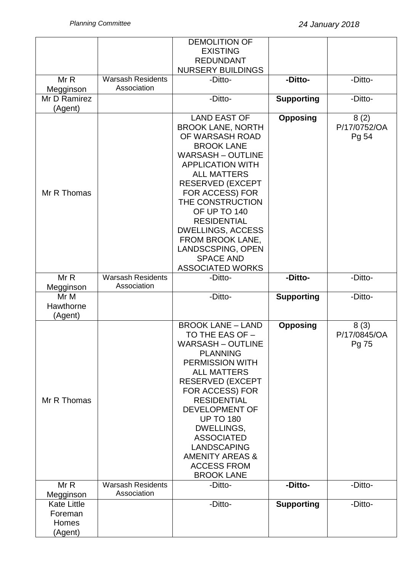|                                                   |                                         | <b>DEMOLITION OF</b><br><b>EXISTING</b><br><b>REDUNDANT</b><br><b>NURSERY BUILDINGS</b>                                                                                                                                                                                                                                                                                                          |                   |                               |
|---------------------------------------------------|-----------------------------------------|--------------------------------------------------------------------------------------------------------------------------------------------------------------------------------------------------------------------------------------------------------------------------------------------------------------------------------------------------------------------------------------------------|-------------------|-------------------------------|
| Mr R<br>Megginson                                 | <b>Warsash Residents</b><br>Association | -Ditto-                                                                                                                                                                                                                                                                                                                                                                                          | -Ditto-           | -Ditto-                       |
| Mr D Ramirez<br>(Agent)                           |                                         | -Ditto-                                                                                                                                                                                                                                                                                                                                                                                          | <b>Supporting</b> | -Ditto-                       |
| Mr R Thomas                                       |                                         | <b>LAND EAST OF</b><br><b>BROOK LANE, NORTH</b><br>OF WARSASH ROAD<br><b>BROOK LANE</b><br><b>WARSASH - OUTLINE</b><br><b>APPLICATION WITH</b><br><b>ALL MATTERS</b><br><b>RESERVED (EXCEPT</b><br>FOR ACCESS) FOR<br>THE CONSTRUCTION<br>OF UP TO 140<br><b>RESIDENTIAL</b><br><b>DWELLINGS, ACCESS</b><br>FROM BROOK LANE,<br>LANDSCSPING, OPEN<br><b>SPACE AND</b><br><b>ASSOCIATED WORKS</b> | <b>Opposing</b>   | 8(2)<br>P/17/0752/OA<br>Pg 54 |
| MrR<br>Megginson                                  | <b>Warsash Residents</b><br>Association | -Ditto-                                                                                                                                                                                                                                                                                                                                                                                          | -Ditto-           | -Ditto-                       |
| Mr M<br>Hawthorne<br>(Agent)                      |                                         | -Ditto-                                                                                                                                                                                                                                                                                                                                                                                          | <b>Supporting</b> | -Ditto-                       |
| Mr R Thomas                                       |                                         | <b>BROOK LANE - LAND</b><br>TO THE EAS OF -<br><b>WARSASH - OUTLINE</b><br><b>PLANNING</b><br><b>PERMISSION WITH</b><br><b>ALL MATTERS</b><br><b>RESERVED (EXCEPT</b><br>FOR ACCESS) FOR<br><b>RESIDENTIAL</b><br>DEVELOPMENT OF<br><b>UP TO 180</b><br>DWELLINGS,<br><b>ASSOCIATED</b><br>LANDSCAPING<br><b>AMENITY AREAS &amp;</b><br><b>ACCESS FROM</b><br><b>BROOK LANE</b>                  | <b>Opposing</b>   | 8(3)<br>P/17/0845/OA<br>Pg 75 |
| MrR<br>Megginson                                  | <b>Warsash Residents</b><br>Association | -Ditto-                                                                                                                                                                                                                                                                                                                                                                                          | -Ditto-           | -Ditto-                       |
| <b>Kate Little</b><br>Foreman<br>Homes<br>(Agent) |                                         | -Ditto-                                                                                                                                                                                                                                                                                                                                                                                          | <b>Supporting</b> | -Ditto-                       |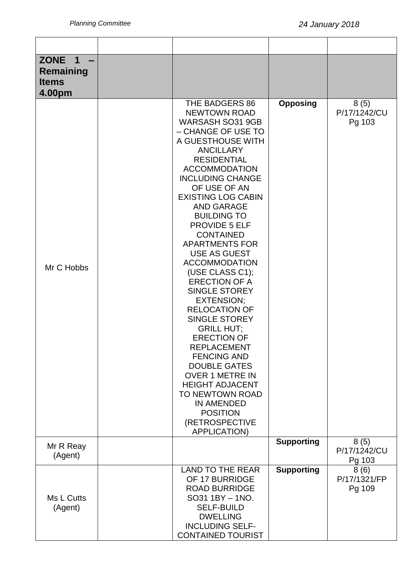| <b>ZONE</b><br>$\mathbf 1$<br><b>Remaining</b><br><b>Items</b><br>4.00pm |                                                                                                                                                                                                                                                                                                                                                                                                                                                                                                                                                                                                                                                                                                                                                                                                                             |                   |                                |
|--------------------------------------------------------------------------|-----------------------------------------------------------------------------------------------------------------------------------------------------------------------------------------------------------------------------------------------------------------------------------------------------------------------------------------------------------------------------------------------------------------------------------------------------------------------------------------------------------------------------------------------------------------------------------------------------------------------------------------------------------------------------------------------------------------------------------------------------------------------------------------------------------------------------|-------------------|--------------------------------|
| Mr C Hobbs                                                               | THE BADGERS 86<br><b>NEWTOWN ROAD</b><br><b>WARSASH SO31 9GB</b><br>- CHANGE OF USE TO<br>A GUESTHOUSE WITH<br><b>ANCILLARY</b><br><b>RESIDENTIAL</b><br><b>ACCOMMODATION</b><br><b>INCLUDING CHANGE</b><br>OF USE OF AN<br><b>EXISTING LOG CABIN</b><br><b>AND GARAGE</b><br><b>BUILDING TO</b><br><b>PROVIDE 5 ELF</b><br><b>CONTAINED</b><br><b>APARTMENTS FOR</b><br><b>USE AS GUEST</b><br><b>ACCOMMODATION</b><br>(USE CLASS C1);<br><b>ERECTION OF A</b><br>SINGLE STOREY<br><b>EXTENSION;</b><br><b>RELOCATION OF</b><br><b>SINGLE STOREY</b><br><b>GRILL HUT:</b><br><b>ERECTION OF</b><br><b>REPLACEMENT</b><br><b>FENCING AND</b><br><b>DOUBLE GATES</b><br><b>OVER 1 METRE IN</b><br><b>HEIGHT ADJACENT</b><br>TO NEWTOWN ROAD<br><b>IN AMENDED</b><br><b>POSITION</b><br>(RETROSPECTIVE<br><b>APPLICATION)</b> | <b>Opposing</b>   | 8(5)<br>P/17/1242/CU<br>Pg 103 |
| Mr R Reay<br>(Agent)                                                     |                                                                                                                                                                                                                                                                                                                                                                                                                                                                                                                                                                                                                                                                                                                                                                                                                             | <b>Supporting</b> | 8(5)<br>P/17/1242/CU<br>Pg 103 |
| Ms L Cutts<br>(Agent)                                                    | <b>LAND TO THE REAR</b><br>OF 17 BURRIDGE<br><b>ROAD BURRIDGE</b><br>SO31 1BY - 1NO.<br><b>SELF-BUILD</b><br><b>DWELLING</b><br><b>INCLUDING SELF-</b><br><b>CONTAINED TOURIST</b>                                                                                                                                                                                                                                                                                                                                                                                                                                                                                                                                                                                                                                          | <b>Supporting</b> | 8(6)<br>P/17/1321/FP<br>Pg 109 |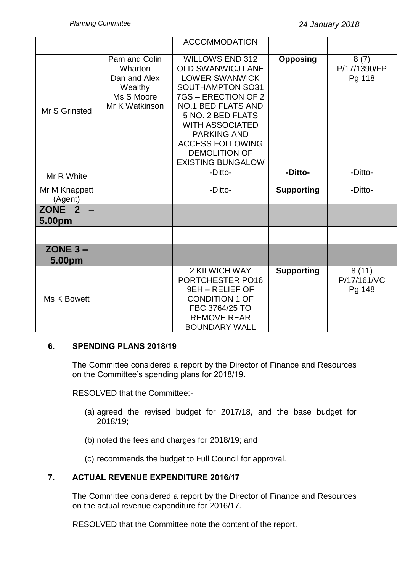|                             |                                                                                     | <b>ACCOMMODATION</b>                                                                                                                                                                                                                                                                                           |                   |                                |
|-----------------------------|-------------------------------------------------------------------------------------|----------------------------------------------------------------------------------------------------------------------------------------------------------------------------------------------------------------------------------------------------------------------------------------------------------------|-------------------|--------------------------------|
| Mr S Grinsted               | Pam and Colin<br>Wharton<br>Dan and Alex<br>Wealthy<br>Ms S Moore<br>Mr K Watkinson | <b>WILLOWS END 312</b><br><b>OLD SWANWICJ LANE</b><br><b>LOWER SWANWICK</b><br><b>SOUTHAMPTON SO31</b><br>7GS - ERECTION OF 2<br><b>NO.1 BED FLATS AND</b><br>5 NO. 2 BED FLATS<br><b>WITH ASSOCIATED</b><br><b>PARKING AND</b><br><b>ACCESS FOLLOWING</b><br><b>DEMOLITION OF</b><br><b>EXISTING BUNGALOW</b> | <b>Opposing</b>   | 8(7)<br>P/17/1390/FP<br>Pg 118 |
| Mr R White                  |                                                                                     | -Ditto-                                                                                                                                                                                                                                                                                                        | -Ditto-           | -Ditto-                        |
| Mr M Knappett<br>(Agent)    |                                                                                     | -Ditto-                                                                                                                                                                                                                                                                                                        | <b>Supporting</b> | -Ditto-                        |
| ZONE <sub>2</sub><br>5.00pm |                                                                                     |                                                                                                                                                                                                                                                                                                                |                   |                                |
|                             |                                                                                     |                                                                                                                                                                                                                                                                                                                |                   |                                |
| $ZONE 3 -$<br>5.00pm        |                                                                                     |                                                                                                                                                                                                                                                                                                                |                   |                                |
| Ms K Bowett                 |                                                                                     | 2 KILWICH WAY<br>PORTCHESTER PO16<br>9EH - RELIEF OF<br><b>CONDITION 1 OF</b><br>FBC.3764/25 TO<br><b>REMOVE REAR</b><br><b>BOUNDARY WALL</b>                                                                                                                                                                  | <b>Supporting</b> | 8(11)<br>P/17/161/VC<br>Pg 148 |

## **6. SPENDING PLANS 2018/19**

The Committee considered a report by the Director of Finance and Resources on the Committee's spending plans for 2018/19.

RESOLVED that the Committee:-

- (a) agreed the revised budget for 2017/18, and the base budget for 2018/19;
- (b) noted the fees and charges for 2018/19; and
- (c) recommends the budget to Full Council for approval.

# **7. ACTUAL REVENUE EXPENDITURE 2016/17**

The Committee considered a report by the Director of Finance and Resources on the actual revenue expenditure for 2016/17.

RESOLVED that the Committee note the content of the report.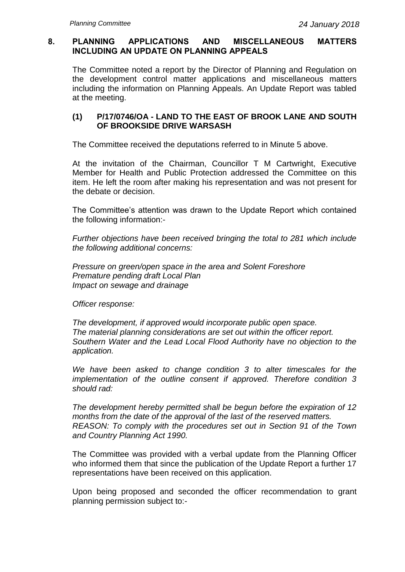## **8. PLANNING APPLICATIONS AND MISCELLANEOUS MATTERS INCLUDING AN UPDATE ON PLANNING APPEALS**

The Committee noted a report by the Director of Planning and Regulation on the development control matter applications and miscellaneous matters including the information on Planning Appeals. An Update Report was tabled at the meeting.

## **(1) P/17/0746/OA - LAND TO THE EAST OF BROOK LANE AND SOUTH OF BROOKSIDE DRIVE WARSASH**

The Committee received the deputations referred to in Minute 5 above.

At the invitation of the Chairman, Councillor T M Cartwright, Executive Member for Health and Public Protection addressed the Committee on this item. He left the room after making his representation and was not present for the debate or decision.

The Committee's attention was drawn to the Update Report which contained the following information:-

*Further objections have been received bringing the total to 281 which include the following additional concerns:*

*Pressure on green/open space in the area and Solent Foreshore Premature pending draft Local Plan Impact on sewage and drainage*

*Officer response:*

*The development, if approved would incorporate public open space. The material planning considerations are set out within the officer report. Southern Water and the Lead Local Flood Authority have no objection to the application.*

*We have been asked to change condition 3 to alter timescales for the implementation of the outline consent if approved. Therefore condition 3 should rad:*

*The development hereby permitted shall be begun before the expiration of 12 months from the date of the approval of the last of the reserved matters. REASON: To comply with the procedures set out in Section 91 of the Town and Country Planning Act 1990.*

The Committee was provided with a verbal update from the Planning Officer who informed them that since the publication of the Update Report a further 17 representations have been received on this application.

Upon being proposed and seconded the officer recommendation to grant planning permission subject to:-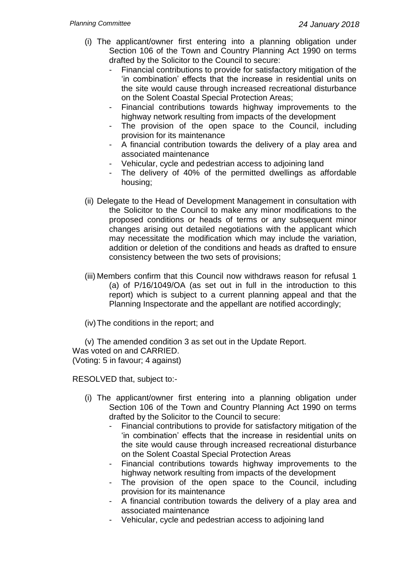- (i) The applicant/owner first entering into a planning obligation under Section 106 of the Town and Country Planning Act 1990 on terms drafted by the Solicitor to the Council to secure:
	- Financial contributions to provide for satisfactory mitigation of the 'in combination' effects that the increase in residential units on the site would cause through increased recreational disturbance on the Solent Coastal Special Protection Areas;
	- Financial contributions towards highway improvements to the highway network resulting from impacts of the development
	- The provision of the open space to the Council, including provision for its maintenance
	- A financial contribution towards the delivery of a play area and associated maintenance
	- Vehicular, cycle and pedestrian access to adjoining land
	- The delivery of 40% of the permitted dwellings as affordable housing;
- (ii) Delegate to the Head of Development Management in consultation with the Solicitor to the Council to make any minor modifications to the proposed conditions or heads of terms or any subsequent minor changes arising out detailed negotiations with the applicant which may necessitate the modification which may include the variation, addition or deletion of the conditions and heads as drafted to ensure consistency between the two sets of provisions;
- (iii) Members confirm that this Council now withdraws reason for refusal 1 (a) of P/16/1049/OA (as set out in full in the introduction to this report) which is subject to a current planning appeal and that the Planning Inspectorate and the appellant are notified accordingly;

(iv)The conditions in the report; and

(v) The amended condition 3 as set out in the Update Report. Was voted on and CARRIED. (Voting: 5 in favour; 4 against)

RESOLVED that, subject to:-

- (i) The applicant/owner first entering into a planning obligation under Section 106 of the Town and Country Planning Act 1990 on terms drafted by the Solicitor to the Council to secure:
	- Financial contributions to provide for satisfactory mitigation of the 'in combination' effects that the increase in residential units on the site would cause through increased recreational disturbance on the Solent Coastal Special Protection Areas
	- Financial contributions towards highway improvements to the highway network resulting from impacts of the development
	- The provision of the open space to the Council, including provision for its maintenance
	- A financial contribution towards the delivery of a play area and associated maintenance
	- Vehicular, cycle and pedestrian access to adjoining land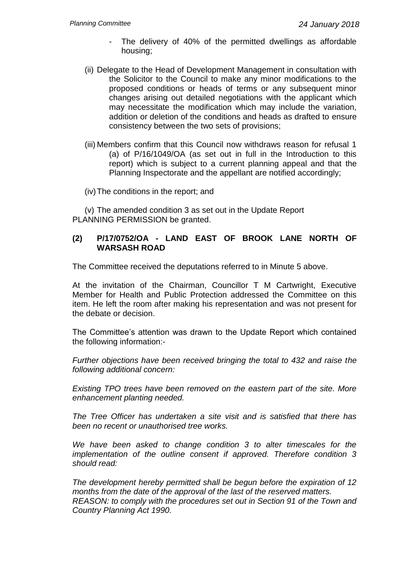- The delivery of 40% of the permitted dwellings as affordable housing;
- (ii) Delegate to the Head of Development Management in consultation with the Solicitor to the Council to make any minor modifications to the proposed conditions or heads of terms or any subsequent minor changes arising out detailed negotiations with the applicant which may necessitate the modification which may include the variation, addition or deletion of the conditions and heads as drafted to ensure consistency between the two sets of provisions;
- (iii) Members confirm that this Council now withdraws reason for refusal 1 (a) of P/16/1049/OA (as set out in full in the Introduction to this report) which is subject to a current planning appeal and that the Planning Inspectorate and the appellant are notified accordingly;

(iv)The conditions in the report; and

(v) The amended condition 3 as set out in the Update Report PLANNING PERMISSION be granted.

## **(2) P/17/0752/OA - LAND EAST OF BROOK LANE NORTH OF WARSASH ROAD**

The Committee received the deputations referred to in Minute 5 above.

At the invitation of the Chairman, Councillor T M Cartwright, Executive Member for Health and Public Protection addressed the Committee on this item. He left the room after making his representation and was not present for the debate or decision.

The Committee's attention was drawn to the Update Report which contained the following information:-

*Further objections have been received bringing the total to 432 and raise the following additional concern:*

*Existing TPO trees have been removed on the eastern part of the site. More enhancement planting needed.*

*The Tree Officer has undertaken a site visit and is satisfied that there has been no recent or unauthorised tree works.*

*We have been asked to change condition 3 to alter timescales for the implementation of the outline consent if approved. Therefore condition 3 should read:*

*The development hereby permitted shall be begun before the expiration of 12 months from the date of the approval of the last of the reserved matters. REASON: to comply with the procedures set out in Section 91 of the Town and Country Planning Act 1990.*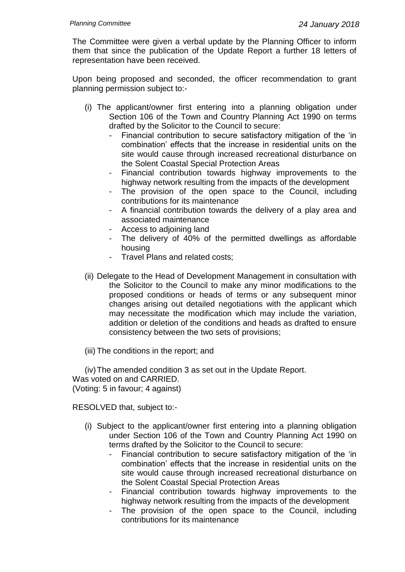The Committee were given a verbal update by the Planning Officer to inform them that since the publication of the Update Report a further 18 letters of representation have been received.

Upon being proposed and seconded, the officer recommendation to grant planning permission subject to:-

- (i) The applicant/owner first entering into a planning obligation under Section 106 of the Town and Country Planning Act 1990 on terms drafted by the Solicitor to the Council to secure:
	- Financial contribution to secure satisfactory mitigation of the 'in combination' effects that the increase in residential units on the site would cause through increased recreational disturbance on the Solent Coastal Special Protection Areas
	- Financial contribution towards highway improvements to the highway network resulting from the impacts of the development
	- The provision of the open space to the Council, including contributions for its maintenance
	- A financial contribution towards the delivery of a play area and associated maintenance
	- Access to adjoining land
	- The delivery of 40% of the permitted dwellings as affordable housing
	- Travel Plans and related costs;
- (ii) Delegate to the Head of Development Management in consultation with the Solicitor to the Council to make any minor modifications to the proposed conditions or heads of terms or any subsequent minor changes arising out detailed negotiations with the applicant which may necessitate the modification which may include the variation, addition or deletion of the conditions and heads as drafted to ensure consistency between the two sets of provisions;
- (iii) The conditions in the report; and

(iv)The amended condition 3 as set out in the Update Report. Was voted on and CARRIED. (Voting: 5 in favour; 4 against)

RESOLVED that, subject to:-

- (i) Subject to the applicant/owner first entering into a planning obligation under Section 106 of the Town and Country Planning Act 1990 on terms drafted by the Solicitor to the Council to secure:
	- Financial contribution to secure satisfactory mitigation of the 'in combination' effects that the increase in residential units on the site would cause through increased recreational disturbance on the Solent Coastal Special Protection Areas
	- Financial contribution towards highway improvements to the highway network resulting from the impacts of the development
	- The provision of the open space to the Council, including contributions for its maintenance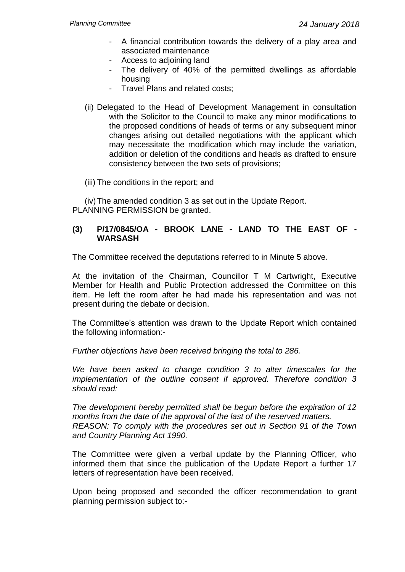- A financial contribution towards the delivery of a play area and associated maintenance
- Access to adjoining land
- The delivery of 40% of the permitted dwellings as affordable housing
- Travel Plans and related costs;
- (ii) Delegated to the Head of Development Management in consultation with the Solicitor to the Council to make any minor modifications to the proposed conditions of heads of terms or any subsequent minor changes arising out detailed negotiations with the applicant which may necessitate the modification which may include the variation, addition or deletion of the conditions and heads as drafted to ensure consistency between the two sets of provisions;

(iii) The conditions in the report; and

(iv)The amended condition 3 as set out in the Update Report. PLANNING PERMISSION be granted.

## **(3) P/17/0845/OA - BROOK LANE - LAND TO THE EAST OF - WARSASH**

The Committee received the deputations referred to in Minute 5 above.

At the invitation of the Chairman, Councillor T M Cartwright, Executive Member for Health and Public Protection addressed the Committee on this item. He left the room after he had made his representation and was not present during the debate or decision.

The Committee's attention was drawn to the Update Report which contained the following information:-

*Further objections have been received bringing the total to 286.*

*We have been asked to change condition 3 to alter timescales for the implementation of the outline consent if approved. Therefore condition 3 should read:*

*The development hereby permitted shall be begun before the expiration of 12 months from the date of the approval of the last of the reserved matters. REASON: To comply with the procedures set out in Section 91 of the Town and Country Planning Act 1990.*

The Committee were given a verbal update by the Planning Officer, who informed them that since the publication of the Update Report a further 17 letters of representation have been received.

Upon being proposed and seconded the officer recommendation to grant planning permission subject to:-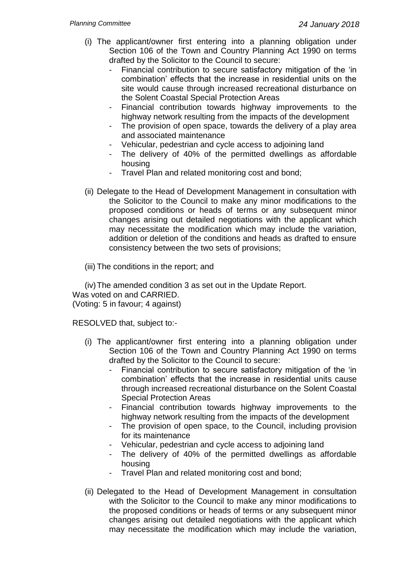- (i) The applicant/owner first entering into a planning obligation under Section 106 of the Town and Country Planning Act 1990 on terms drafted by the Solicitor to the Council to secure:
	- Financial contribution to secure satisfactory mitigation of the 'in combination' effects that the increase in residential units on the site would cause through increased recreational disturbance on the Solent Coastal Special Protection Areas
	- Financial contribution towards highway improvements to the highway network resulting from the impacts of the development
	- The provision of open space, towards the delivery of a play area and associated maintenance
	- Vehicular, pedestrian and cycle access to adjoining land
	- The delivery of 40% of the permitted dwellings as affordable housing
	- Travel Plan and related monitoring cost and bond;
- (ii) Delegate to the Head of Development Management in consultation with the Solicitor to the Council to make any minor modifications to the proposed conditions or heads of terms or any subsequent minor changes arising out detailed negotiations with the applicant which may necessitate the modification which may include the variation, addition or deletion of the conditions and heads as drafted to ensure consistency between the two sets of provisions;
- (iii) The conditions in the report; and

(iv)The amended condition 3 as set out in the Update Report.

Was voted on and CARRIED. (Voting: 5 in favour; 4 against)

RESOLVED that, subject to:-

- (i) The applicant/owner first entering into a planning obligation under Section 106 of the Town and Country Planning Act 1990 on terms drafted by the Solicitor to the Council to secure:
	- Financial contribution to secure satisfactory mitigation of the 'in combination' effects that the increase in residential units cause through increased recreational disturbance on the Solent Coastal Special Protection Areas
	- Financial contribution towards highway improvements to the highway network resulting from the impacts of the development
	- The provision of open space, to the Council, including provision for its maintenance
	- Vehicular, pedestrian and cycle access to adjoining land
	- The delivery of 40% of the permitted dwellings as affordable housing
	- Travel Plan and related monitoring cost and bond;
- (ii) Delegated to the Head of Development Management in consultation with the Solicitor to the Council to make any minor modifications to the proposed conditions or heads of terms or any subsequent minor changes arising out detailed negotiations with the applicant which may necessitate the modification which may include the variation,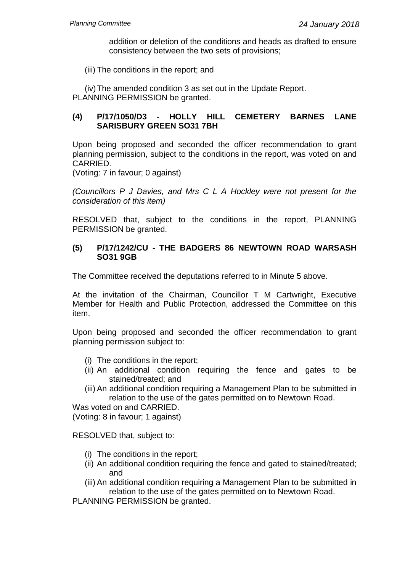addition or deletion of the conditions and heads as drafted to ensure consistency between the two sets of provisions;

(iii) The conditions in the report; and

(iv)The amended condition 3 as set out in the Update Report. PLANNING PERMISSION be granted.

## **(4) P/17/1050/D3 - HOLLY HILL CEMETERY BARNES LANE SARISBURY GREEN SO31 7BH**

Upon being proposed and seconded the officer recommendation to grant planning permission, subject to the conditions in the report, was voted on and CARRIED.

(Voting: 7 in favour; 0 against)

*(Councillors P J Davies, and Mrs C L A Hockley were not present for the consideration of this item)*

RESOLVED that, subject to the conditions in the report, PLANNING PERMISSION be granted.

#### **(5) P/17/1242/CU - THE BADGERS 86 NEWTOWN ROAD WARSASH SO31 9GB**

The Committee received the deputations referred to in Minute 5 above.

At the invitation of the Chairman, Councillor T M Cartwright, Executive Member for Health and Public Protection, addressed the Committee on this item.

Upon being proposed and seconded the officer recommendation to grant planning permission subject to:

- (i) The conditions in the report;
- (ii) An additional condition requiring the fence and gates to be stained/treated; and
- (iii) An additional condition requiring a Management Plan to be submitted in relation to the use of the gates permitted on to Newtown Road.

Was voted on and CARRIED.

(Voting: 8 in favour; 1 against)

RESOLVED that, subject to:

- (i) The conditions in the report;
- (ii) An additional condition requiring the fence and gated to stained/treated; and
- (iii) An additional condition requiring a Management Plan to be submitted in relation to the use of the gates permitted on to Newtown Road.

PLANNING PERMISSION be granted.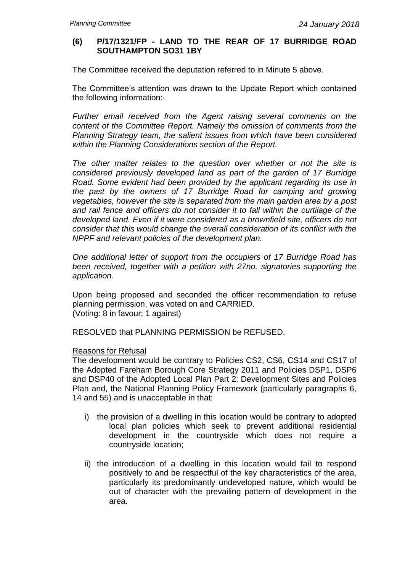## **(6) P/17/1321/FP - LAND TO THE REAR OF 17 BURRIDGE ROAD SOUTHAMPTON SO31 1BY**

The Committee received the deputation referred to in Minute 5 above.

The Committee's attention was drawn to the Update Report which contained the following information:-

*Further email received from the Agent raising several comments on the content of the Committee Report. Namely the omission of comments from the Planning Strategy team, the salient issues from which have been considered within the Planning Considerations section of the Report.*

*The other matter relates to the question over whether or not the site is considered previously developed land as part of the garden of 17 Burridge Road. Some evident had been provided by the applicant regarding its use in the past by the owners of 17 Burridge Road for camping and growing vegetables, however the site is separated from the main garden area by a post and rail fence and officers do not consider it to fall within the curtilage of the developed land. Even if it were considered as a brownfield site, officers do not consider that this would change the overall consideration of its conflict with the NPPF and relevant policies of the development plan.*

*One additional letter of support from the occupiers of 17 Burridge Road has been received, together with a petition with 27no. signatories supporting the application.*

Upon being proposed and seconded the officer recommendation to refuse planning permission, was voted on and CARRIED. (Voting: 8 in favour; 1 against)

RESOLVED that PLANNING PERMISSION be REFUSED.

#### Reasons for Refusal

The development would be contrary to Policies CS2, CS6, CS14 and CS17 of the Adopted Fareham Borough Core Strategy 2011 and Policies DSP1, DSP6 and DSP40 of the Adopted Local Plan Part 2: Development Sites and Policies Plan and, the National Planning Policy Framework (particularly paragraphs 6, 14 and 55) and is unacceptable in that:

- i) the provision of a dwelling in this location would be contrary to adopted local plan policies which seek to prevent additional residential development in the countryside which does not require a countryside location;
- ii) the introduction of a dwelling in this location would fail to respond positively to and be respectful of the key characteristics of the area, particularly its predominantly undeveloped nature, which would be out of character with the prevailing pattern of development in the area.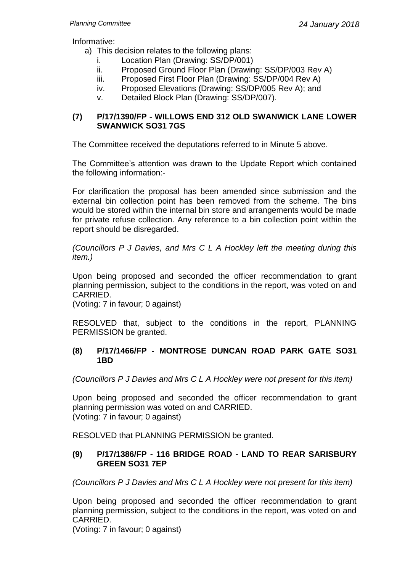Informative:

- a) This decision relates to the following plans:
	- i. Location Plan (Drawing: SS/DP/001)
	- ii. Proposed Ground Floor Plan (Drawing: SS/DP/003 Rev A)
	- iii. Proposed First Floor Plan (Drawing: SS/DP/004 Rev A)
	- iv. Proposed Elevations (Drawing: SS/DP/005 Rev A); and
	- v. Detailed Block Plan (Drawing: SS/DP/007).

## **(7) P/17/1390/FP - WILLOWS END 312 OLD SWANWICK LANE LOWER SWANWICK SO31 7GS**

The Committee received the deputations referred to in Minute 5 above.

The Committee's attention was drawn to the Update Report which contained the following information:-

For clarification the proposal has been amended since submission and the external bin collection point has been removed from the scheme. The bins would be stored within the internal bin store and arrangements would be made for private refuse collection. Any reference to a bin collection point within the report should be disregarded.

*(Councillors P J Davies, and Mrs C L A Hockley left the meeting during this item.)*

Upon being proposed and seconded the officer recommendation to grant planning permission, subject to the conditions in the report, was voted on and CARRIED.

(Voting: 7 in favour; 0 against)

RESOLVED that, subject to the conditions in the report, PLANNING PERMISSION be granted.

## **(8) P/17/1466/FP - MONTROSE DUNCAN ROAD PARK GATE SO31 1BD**

*(Councillors P J Davies and Mrs C L A Hockley were not present for this item)*

Upon being proposed and seconded the officer recommendation to grant planning permission was voted on and CARRIED. (Voting: 7 in favour; 0 against)

RESOLVED that PLANNING PERMISSION be granted.

# **(9) P/17/1386/FP - 116 BRIDGE ROAD - LAND TO REAR SARISBURY GREEN SO31 7EP**

*(Councillors P J Davies and Mrs C L A Hockley were not present for this item)*

Upon being proposed and seconded the officer recommendation to grant planning permission, subject to the conditions in the report, was voted on and CARRIED.

(Voting: 7 in favour; 0 against)